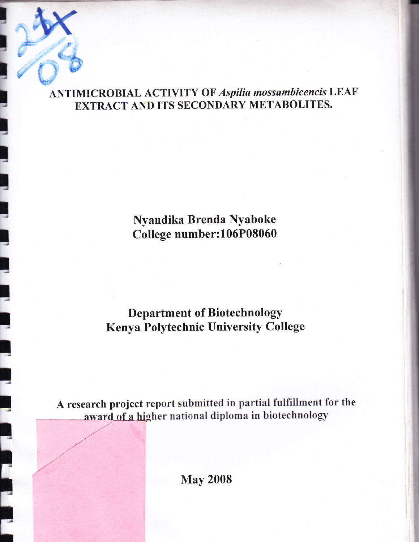## **ANTIMICROBIAL ACTIVITY OF Aspilia mossambicencis LEAF** EXTRACT AND ITS SECONDARY METABOLITES.

## Nyandika Brenda Nyaboke College number:106P08060

## **Department of Biotechnology Kenya Polytechnic University College**

A research project report submitted in partial fulfillment for the award of a higher national diploma in biotechnology

**May 2008**